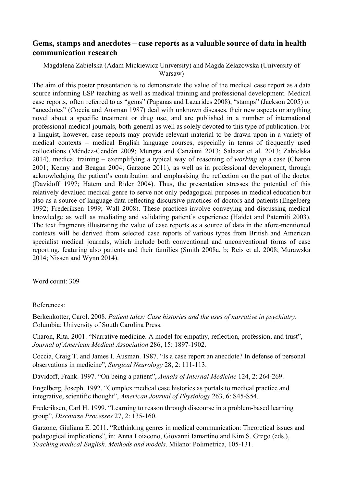## **Gems, stamps and anecdotes – case reports as a valuable source of data in health communication research**

## Magdalena Zabielska (Adam Mickiewicz University) and Magda Żelazowska (University of Warsaw)

The aim of this poster presentation is to demonstrate the value of the medical case report as a data source informing ESP teaching as well as medical training and professional development. Medical case reports, often referred to as "gems" (Papanas and Lazarides 2008), "stamps" (Jackson 2005) or "anecdotes" (Coccia and Ausman 1987) deal with unknown diseases, their new aspects or anything novel about a specific treatment or drug use, and are published in a number of international professional medical journals, both general as well as solely devoted to this type of publication. For a linguist, however, case reports may provide relevant material to be drawn upon in a variety of medical contexts – medical English language courses, especially in terms of frequently used collocations (Méndez-Cendón 2009; Mungra and Canziani 2013; Salazar et al. 2013; Zabielska 2014), medical training – exemplifying a typical way of reasoning of *working up* a case (Charon 2001; Kenny and Beagan 2004; Garzone 2011), as well as in professional development, through acknowledging the patient's contribution and emphasising the reflection on the part of the doctor (Davidoff 1997; Hatem and Rider 2004). Thus, the presentation stresses the potential of this relatively devalued medical genre to serve not only pedagogical purposes in medical education but also as a source of language data reflecting discursive practices of doctors and patients (Engelberg 1992; Frederiksen 1999; Wall 2008). These practices involve conveying and discussing medical knowledge as well as mediating and validating patient's experience (Haidet and Paterniti 2003). The text fragments illustrating the value of case reports as a source of data in the afore-mentioned contexts will be derived from selected case reports of various types from British and American specialist medical journals, which include both conventional and unconventional forms of case reporting, featuring also patients and their families (Smith 2008a, b; Reis et al. 2008; Murawska 2014; Nissen and Wynn 2014).

Word count: 309

## References:

Berkenkotter, Carol. 2008. *Patient tales: Case histories and the uses of narrative in psychiatry*. Columbia: University of South Carolina Press.

Charon, Rita. 2001. "Narrative medicine. A model for empathy, reflection, profession, and trust", Journal of American Medical Association 286, 15: 1897-1902.

Coccia, Craig T. and James I. Ausman. 1987. "Is a case report an anecdote? In defense of personal observations in medicine", *Surgical Neurology* 28, 2: 111-113.

Davidoff, Frank. 1997. "On being a patient", *Annals of Internal Medicine* 124, 2: 264-269.

Engelberg, Joseph. 1992. "Complex medical case histories as portals to medical practice and integrative, scientific thought", *American Journal of Physiology* 263, 6: S45-S54.

Frederiksen, Carl H. 1999. "Learning to reason through discourse in a problem-based learning group", *Discourse Processes* 27, 2: 135160.

Garzone, Giuliana E. 2011. "Rethinking genres in medical communication: Theoretical issues and pedagogical implications", in: Anna Loiacono, Giovanni Iamartino and Kim S. Grego (eds.), *Teaching medical English. Methods and models. Milano: Polimetrica, 105-131.*